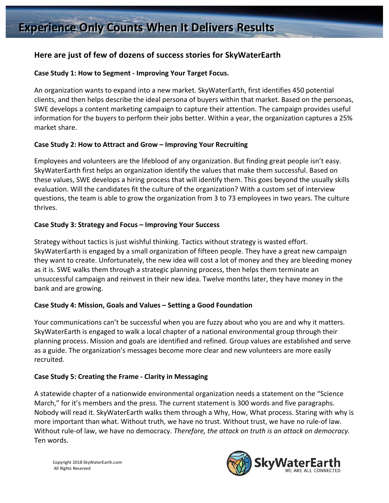# Here are just of few of dozens of success stories for SkyWaterEarth

### Case Study 1: How to Segment - Improving Your Target Focus.

An organization wants to expand into a new market. SkyWaterEarth, first identifies 450 potential clients, and then helps describe the ideal persona of buyers within that market. Based on the personas, SWE develops a content marketing campaign to capture their attention. The campaign provides useful information for the buyers to perform their jobs better. Within a year, the organization captures a 25% market share.

### Case Study 2: How to Attract and Grow – Improving Your Recruiting

Employees and volunteers are the lifeblood of any organization. But finding great people isn't easy. SkyWaterEarth first helps an organization identify the values that make them successful. Based on these values, SWE develops a hiring process that will identify them. This goes beyond the usually skills evaluation. Will the candidates fit the culture of the organization? With a custom set of interview questions, the team is able to grow the organization from 3 to 73 employees in two years. The culture thrives. 

### Case Study 3: Strategy and Focus – Improving Your Success

Strategy without tactics is just wishful thinking. Tactics without strategy is wasted effort. SkyWaterEarth is engaged by a small organization of fifteen people. They have a great new campaign they want to create. Unfortunately, the new idea will cost a lot of money and they are bleeding money as it is. SWE walks them through a strategic planning process, then helps them terminate an unsuccessful campaign and reinvest in their new idea. Twelve months later, they have money in the bank and are growing.

## Case Study 4: Mission, Goals and Values – Setting a Good Foundation

Your communications can't be successful when you are fuzzy about who you are and why it matters. SkyWaterEarth is engaged to walk a local chapter of a national environmental group through their planning process. Mission and goals are identified and refined. Group values are established and serve as a guide. The organization's messages become more clear and new volunteers are more easily recruited. 

## **Case Study 5: Creating the Frame - Clarity in Messaging**

A statewide chapter of a nationwide environmental organization needs a statement on the "Science March," for it's members and the press. The current statement is 300 words and five paragraphs. Nobody will read it. SkyWaterEarth walks them through a Why, How, What process. Staring with why is more important than what. Without truth, we have no trust. Without trust, we have no rule-of law. Without rule-of law, we have no democracy. *Therefore, the attack on truth is an attack on democracy.* Ten words.